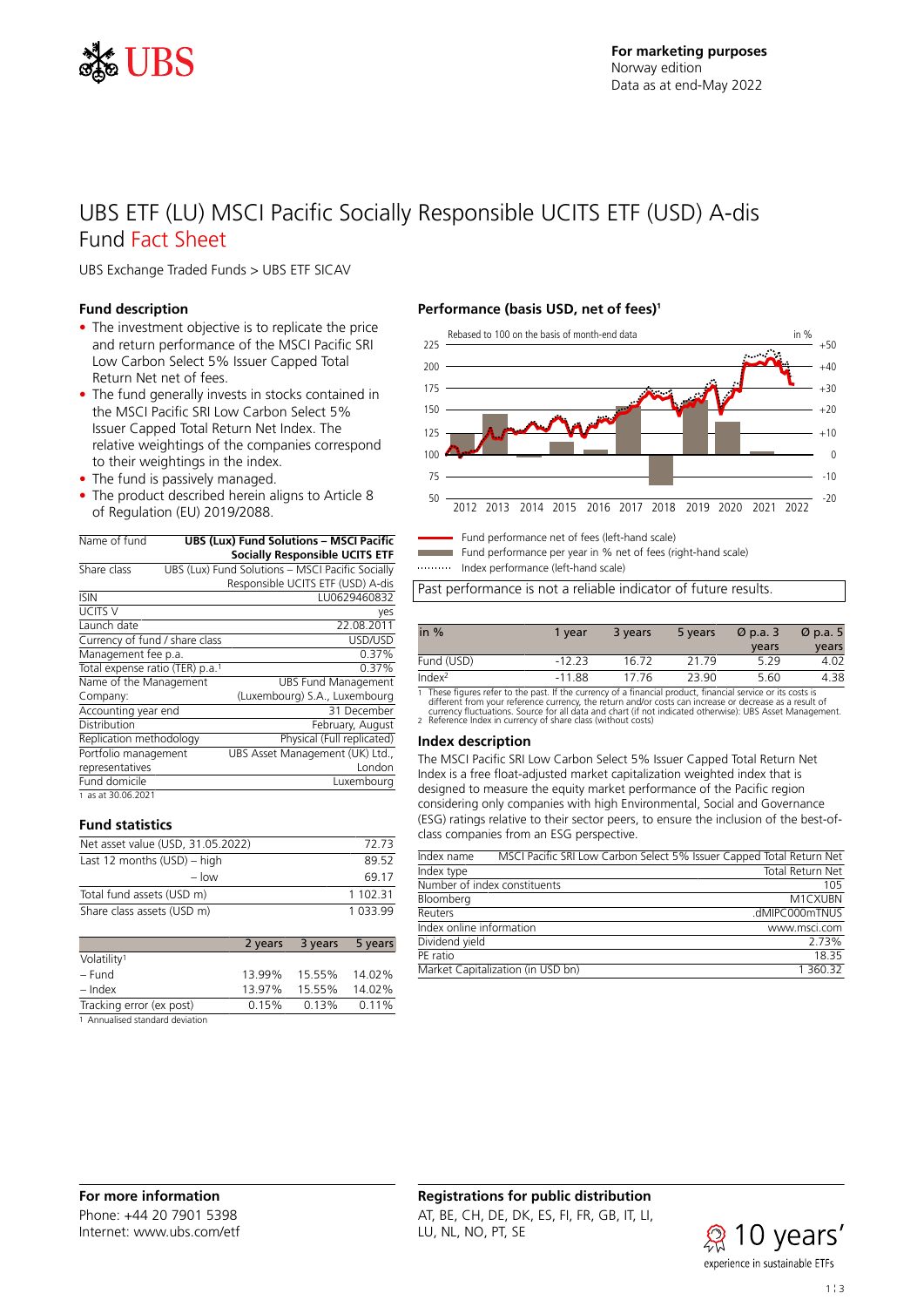

# UBS ETF (LU) MSCI Pacific Socially Responsible UCITS ETF (USD) A-dis Fund Fact Sheet

UBS Exchange Traded Funds > UBS ETF SICAV

## **Fund description**

- The investment objective is to replicate the price and return performance of the MSCI Pacific SRI Low Carbon Select 5% Issuer Capped Total Return Net net of fees.
- The fund generally invests in stocks contained in the MSCI Pacific SRI Low Carbon Select 5% Issuer Capped Total Return Net Index. The relative weightings of the companies correspond to their weightings in the index.
- The fund is passively managed.
- The product described herein aligns to Article 8 of Regulation (EU) 2019/2088.

| Name of fund                    |                                                  | <b>UBS (Lux) Fund Solutions - MSCI Pacific</b> |  |  |  |
|---------------------------------|--------------------------------------------------|------------------------------------------------|--|--|--|
|                                 |                                                  | <b>Socially Responsible UCITS ETF</b>          |  |  |  |
| Share class                     | UBS (Lux) Fund Solutions - MSCI Pacific Socially |                                                |  |  |  |
|                                 |                                                  | Responsible UCITS ETF (USD) A-dis              |  |  |  |
| <b>ISIN</b>                     |                                                  | LU0629460832                                   |  |  |  |
| <b>UCITS V</b>                  |                                                  | yes                                            |  |  |  |
| Launch date                     |                                                  | 22.08.2011                                     |  |  |  |
| Currency of fund / share class  |                                                  | USD/USD                                        |  |  |  |
| Management fee p.a.             |                                                  | 0.37%                                          |  |  |  |
| Total expense ratio (TER) p.a.1 |                                                  | 0.37%                                          |  |  |  |
| Name of the Management          |                                                  | <b>UBS Fund Management</b>                     |  |  |  |
| Company:                        |                                                  | (Luxembourg) S.A., Luxembourg                  |  |  |  |
| Accounting year end             |                                                  | 31 December                                    |  |  |  |
| Distribution                    |                                                  | February, August                               |  |  |  |
| Replication methodology         |                                                  | Physical (Full replicated)                     |  |  |  |
| Portfolio management            |                                                  | UBS Asset Management (UK) Ltd.,                |  |  |  |
| representatives                 |                                                  | London                                         |  |  |  |
| Fund domicile                   |                                                  | Luxembourg                                     |  |  |  |
| 1 as at 30.06.2021              |                                                  |                                                |  |  |  |

#### **Fund statistics**

| Net asset value (USD, 31.05.2022) | 72.73    |
|-----------------------------------|----------|
| Last 12 months $(USD)$ – high     | 89.52    |
| $-$ low                           | 69 17    |
| Total fund assets (USD m)         | 1 102 31 |
| Share class assets (USD m)        | 1 033 99 |

|                                  | 2 years | 3 years | 5 years |
|----------------------------------|---------|---------|---------|
| Volatility <sup>1</sup>          |         |         |         |
| – Fund                           | 13.99%  | 15.55%  | 14.02%  |
| – Index                          | 13.97%  | 15.55%  | 14.02%  |
| Tracking error (ex post)         | 0.15%   | 0.13%   | 0.11%   |
| 1. Annualicad standard doviation |         |         |         |

alised standard deviation

# **Performance (basis USD, net of fees)<sup>1</sup>**



Fund performance net of fees (left-hand scale) Fund performance per year in % net of fees (right-hand scale)

Index performance (left-hand scale)

Past performance is not a reliable indicator of future results.

| in $%$             | 1 vear   | 3 years | 5 years | $\varnothing$ p.a. 3 | $\varnothing$ p.a. 5 |
|--------------------|----------|---------|---------|----------------------|----------------------|
|                    |          |         |         | years                | years                |
| Fund (USD)         | $-12.23$ | 16.72   | 21 79   | 5.29                 | 4.02                 |
| Index <sup>2</sup> | $-11.88$ | 17.76   | 23.90   | 5.60                 | 4.38                 |

1 These figures refer to the past. If the currency of a financial product, financial service or its costs is<br>different from your reference currency, the return and/or costs can increase or decrease as a result of<br>currency

#### **Index description**

The MSCI Pacific SRI Low Carbon Select 5% Issuer Capped Total Return Net Index is a free float-adjusted market capitalization weighted index that is designed to measure the equity market performance of the Pacific region considering only companies with high Environmental, Social and Governance (ESG) ratings relative to their sector peers, to ensure the inclusion of the best-ofclass companies from an ESG perspective.

| Index name                   |                                   | MSCI Pacific SRI Low Carbon Select 5% Issuer Capped Total Return Net |
|------------------------------|-----------------------------------|----------------------------------------------------------------------|
| Index type                   |                                   | Total Return Net                                                     |
| Number of index constituents |                                   | 105                                                                  |
| Bloomberg                    |                                   | M1CXUBN                                                              |
| Reuters                      |                                   | .dMIPC000mTNUS                                                       |
| Index online information     |                                   | www.msci.com                                                         |
| Dividend yield               |                                   | 2.73%                                                                |
| PE ratio                     |                                   | 18 35                                                                |
|                              | Market Capitalization (in USD bn) | 1 360.32                                                             |

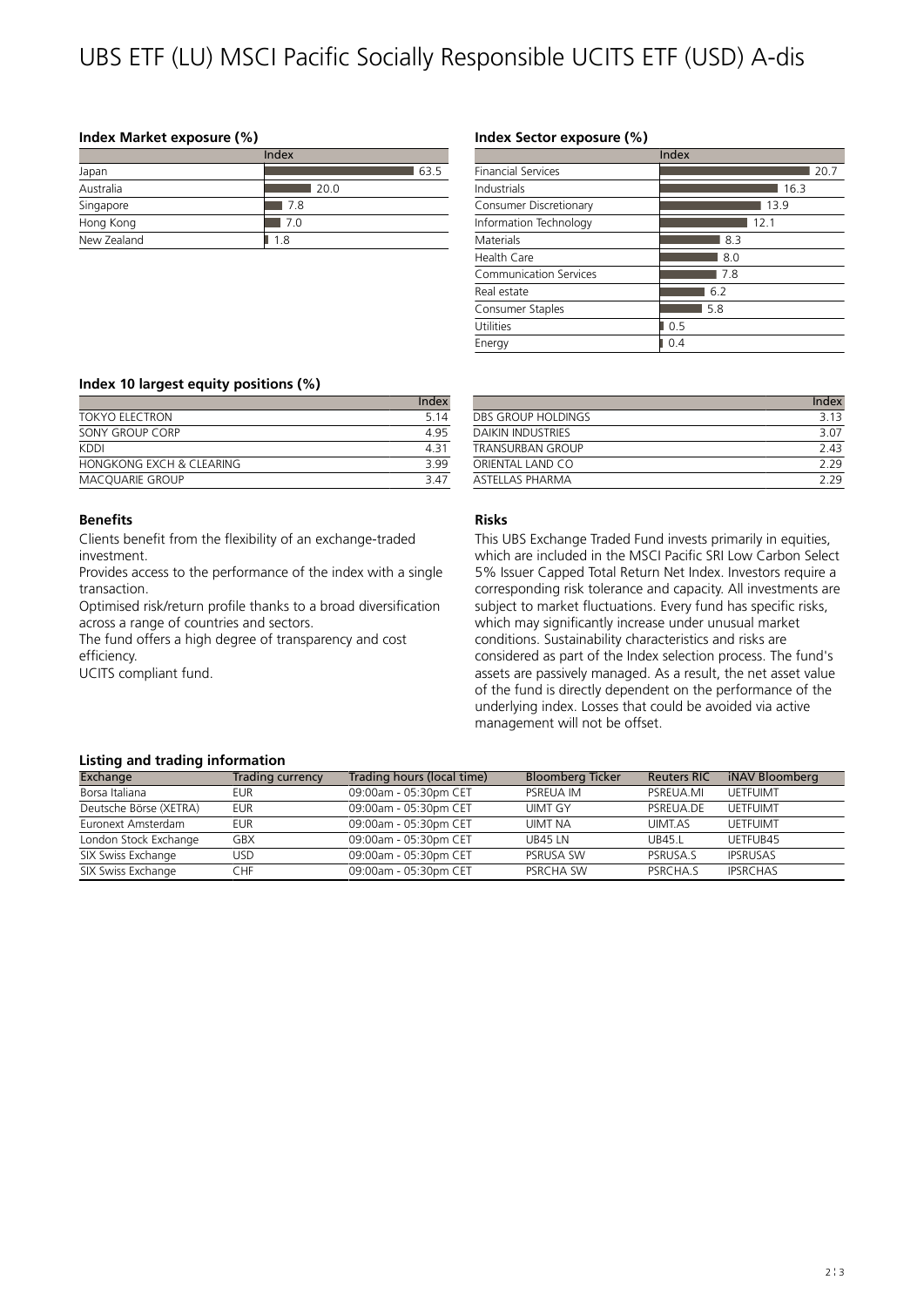# UBS ETF (LU) MSCI Pacific Socially Responsible UCITS ETF (USD) A-dis

## **Index Market exposure (%)**

| Index       |      |  |  |
|-------------|------|--|--|
| Japan       | 63.5 |  |  |
| Australia   | 20.0 |  |  |
| Singapore   | 7.8  |  |  |
| Hong Kong   | 7.0  |  |  |
| New Zealand | 1.8  |  |  |

# **Index Sector exposure (%)**

|                               | Index |
|-------------------------------|-------|
| <b>Financial Services</b>     | 20.7  |
| Industrials                   | 16.3  |
| Consumer Discretionary        | 13.9  |
| Information Technology        | 12.1  |
| Materials                     | 8.3   |
| Health Care                   | 8.0   |
| <b>Communication Services</b> | 7.8   |
| Real estate                   | 6.2   |
| Consumer Staples              | 5.8   |
| Utilities                     | 0.5   |
| Energy                        | 0.4   |

#### **Index 10 largest equity positions (%)**

|                          | Index |
|--------------------------|-------|
| TOKYO FI FCTRON          | 5 1 4 |
| SONY GROUP CORP          | 495   |
| KDDI                     | 431   |
| HONGKONG FXCH & CLEARING | 399   |
| <b>MACOUARIE GROUP</b>   | 3 47  |

#### **Benefits**

Clients benefit from the flexibility of an exchange-traded investment.

Provides access to the performance of the index with a single transaction.

Optimised risk/return profile thanks to a broad diversification across a range of countries and sectors.

The fund offers a high degree of transparency and cost efficiency.

UCITS compliant fund.

## **DBS GROUP HOLDINGS** 3.13<br>DAIKIN INDUSTRIES 3.07 DAIKIN INDUSTRIES TRANSURBAN GROUP 2.43 ORIENTAL LAND CO 2.29 ASTELLAS PHARMA 2.29

# **Risks**

This UBS Exchange Traded Fund invests primarily in equities, which are included in the MSCI Pacific SRI Low Carbon Select 5% Issuer Capped Total Return Net Index. Investors require a corresponding risk tolerance and capacity. All investments are subject to market fluctuations. Every fund has specific risks, which may significantly increase under unusual market conditions. Sustainability characteristics and risks are considered as part of the Index selection process. The fund's assets are passively managed. As a result, the net asset value of the fund is directly dependent on the performance of the underlying index. Losses that could be avoided via active management will not be offset.

#### **Listing and trading information**

| Exchange               | Trading currency | Trading hours (local time) | <b>Bloomberg Ticker</b> | <b>Reuters RIC</b> | iNAV Bloomberg  |
|------------------------|------------------|----------------------------|-------------------------|--------------------|-----------------|
| Borsa Italiana         | eur              | 09:00am - 05:30pm CET      | PSREUA IM               | PSREUA.MI          | <b>UETFUIMT</b> |
| Deutsche Börse (XETRA) | EUR              | 09:00am - 05:30pm CET      | UIMT GY                 | PSREUA.DE          | UFTFUIMT        |
| Euronext Amsterdam     | <b>EUR</b>       | 09:00am - 05:30pm CET      | <b>UIMT NA</b>          | UIMT.AS            | <b>UETFUIMT</b> |
| London Stock Exchange  | GBX              | 09:00am - 05:30pm CET      | <b>UB45 IN</b>          | UB45.1             | UFTFUR45        |
| SIX Swiss Exchange     | USD              | 09:00am - 05:30pm CET      | <b>PSRUSA SW</b>        | PSRUSA S           | <b>IPSRUSAS</b> |
| SIX Swiss Exchange     | CHF              | 09:00am - 05:30pm CET      | PSRCHA SW               | PSRCHA.S           | <b>IPSRCHAS</b> |

Index